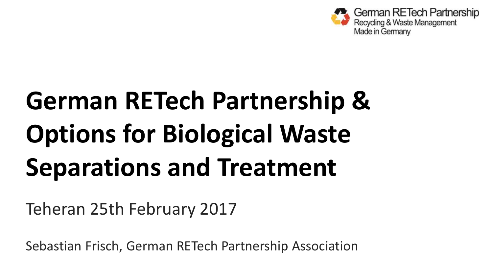

# **German RETech Partnership & Options for Biological Waste Separations and Treatment**

Teheran 25th February 2017

Sebastian Frisch, German RETech Partnership Association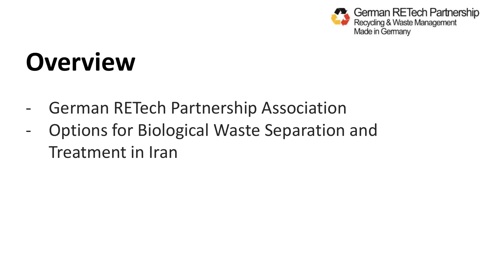

# **Overview**

- German RETech Partnership Association
- Options for Biological Waste Separation and Treatment in Iran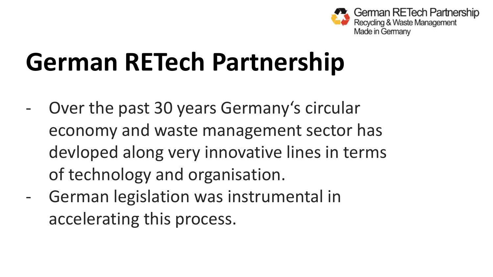

- Over the past 30 years Germany's circular economy and waste management sector has devloped along very innovative lines in terms of technology and organisation.
- German legislation was instrumental in accelerating this process.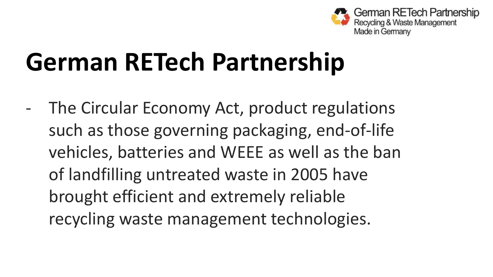

The Circular Economy Act, product regulations such as those governing packaging, end-of-life vehicles, batteries and WEEE as well as the ban of landfilling untreated waste in 2005 have brought efficient and extremely reliable recycling waste management technologies.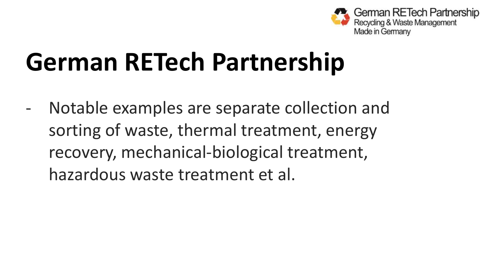

- Notable examples are separate collection and sorting of waste, thermal treatment, energy recovery, mechanical-biological treatment, hazardous waste treatment et al.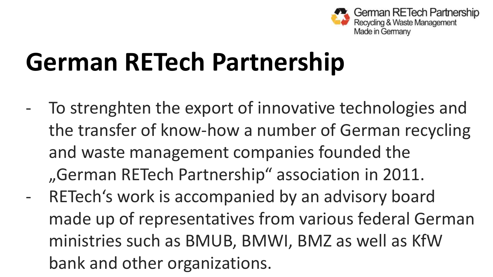

To strenghten the export of innovative technologies and the transfer of know-how a number of German recycling and waste management companies founded the "German RETech Partnership" association in 2011. RETech's work is accompanied by an advisory board made up of representatives from various federal German ministries such as BMUB, BMWI, BMZ as well as KfW bank and other organizations.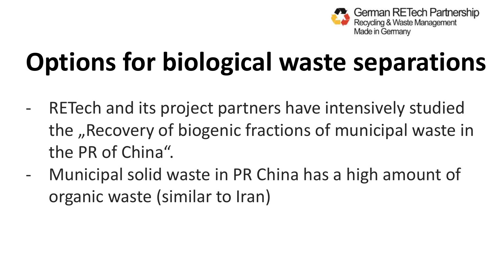

# **Options for biological waste separations**

- RETech and its project partners have intensively studied the "Recovery of biogenic fractions of municipal waste in the PR of China".
- Municipal solid waste in PR China has a high amount of organic waste (similar to Iran)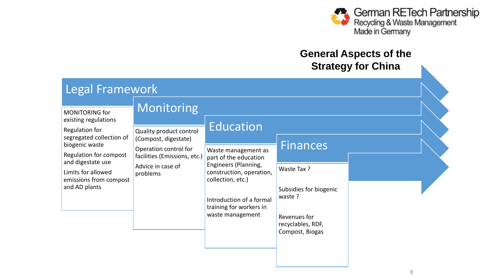

#### **General Aspects of the Strategy for China**

| Legal Framework                                                                                                                                                                                                        |                                                                                                                                                         |                                                                                                                                                                                                               |                                                                                                                            |  |  |  |
|------------------------------------------------------------------------------------------------------------------------------------------------------------------------------------------------------------------------|---------------------------------------------------------------------------------------------------------------------------------------------------------|---------------------------------------------------------------------------------------------------------------------------------------------------------------------------------------------------------------|----------------------------------------------------------------------------------------------------------------------------|--|--|--|
| MONITORING for<br>existing regulations<br>Regulation for<br>segregated collection of<br>biogenic waste<br>Regulation for compost<br>and digestate use<br>Limits for allowed<br>emissions from compost<br>and AD plants | Monitoring<br>Quality product control<br>(Compost, digestate)<br>Operation control for<br>facilities (Emissions, etc.)<br>Advice in case of<br>problems | Education<br>Waste management as<br>part of the education<br>Engineers (Planning,<br>construction, operation,<br>collection, etc.)<br>Introduction of a formal<br>training for workers in<br>waste management | <b>Finances</b><br>Waste Tax?<br>Subsidies for biogenic<br>waste ?<br>Revenues for<br>recyclables, RDF,<br>Compost, Biogas |  |  |  |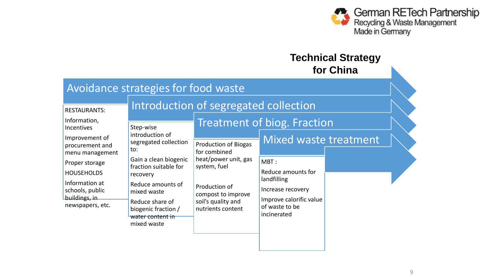

#### **Technical Strategy for China**

| Avoidance strategies for food waste                                                                                                                                                                                               |                                                                                                                                                                                   |                                                                                                                                                                                           |                                                                                                                                                                                   |  |  |  |
|-----------------------------------------------------------------------------------------------------------------------------------------------------------------------------------------------------------------------------------|-----------------------------------------------------------------------------------------------------------------------------------------------------------------------------------|-------------------------------------------------------------------------------------------------------------------------------------------------------------------------------------------|-----------------------------------------------------------------------------------------------------------------------------------------------------------------------------------|--|--|--|
| <b>RESTAURANTS:</b><br>Information,<br><b>Incentives</b><br>Improvement of<br>procurement and<br>menu management<br>Proper storage<br><b>HOUSEHOLDS</b><br>Information at<br>schools, public<br>buildings, in<br>newspapers, etc. | Step-wise<br>introduction of<br>segregated collection<br>to:<br>Gain a clean biogenic<br>fraction suitable for<br>recovery<br>Reduce amounts of<br>mixed waste<br>Reduce share of | Introduction of segregated collection<br><b>Production of Biogas</b><br>for combined<br>heat/power unit, gas<br>system, fuel<br>Production of<br>compost to improve<br>soil's quality and | <b>Treatment of biog. Fraction</b><br><b>Mixed waste treatment</b><br>MBT:<br>Reduce amounts for<br>landfilling<br>Increase recovery<br>Improve calorific value<br>of waste to be |  |  |  |
|                                                                                                                                                                                                                                   | biogenic fraction /<br>water content in<br>mixed waste                                                                                                                            | nutrients content                                                                                                                                                                         | incinerated                                                                                                                                                                       |  |  |  |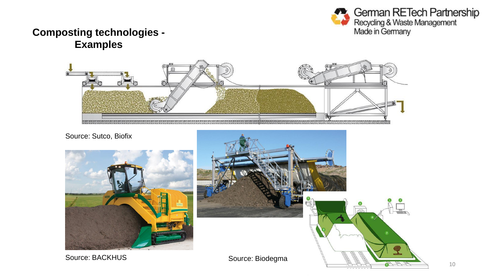

#### **Composting technologies - Examples**



Source: Sutco, Biofix



Source: BACKHUS Source: Biodegma

**UNIVERSITY OF ROSTOCK | FACULTY OF AGRICULTURAL AND ENVIRONMENTAL SCIENCES**

**RANTA Alland**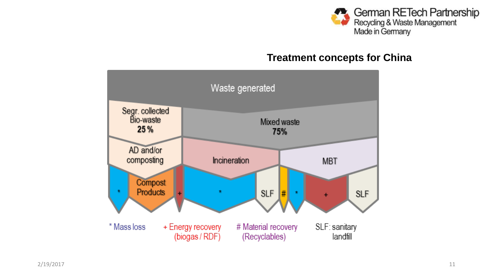

#### **Treatment concepts for China**

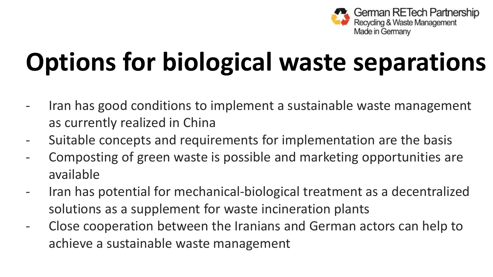

# **Options for biological waste separations**

- Iran has good conditions to implement a sustainable waste management as currently realized in China
- Suitable concepts and requirements for implementation are the basis
- Composting of green waste is possible and marketing opportunities are available
- Iran has potential for mechanical-biological treatment as a decentralized solutions as a supplement for waste incineration plants
- Close cooperation between the Iranians and German actors can help to achieve a sustainable waste management